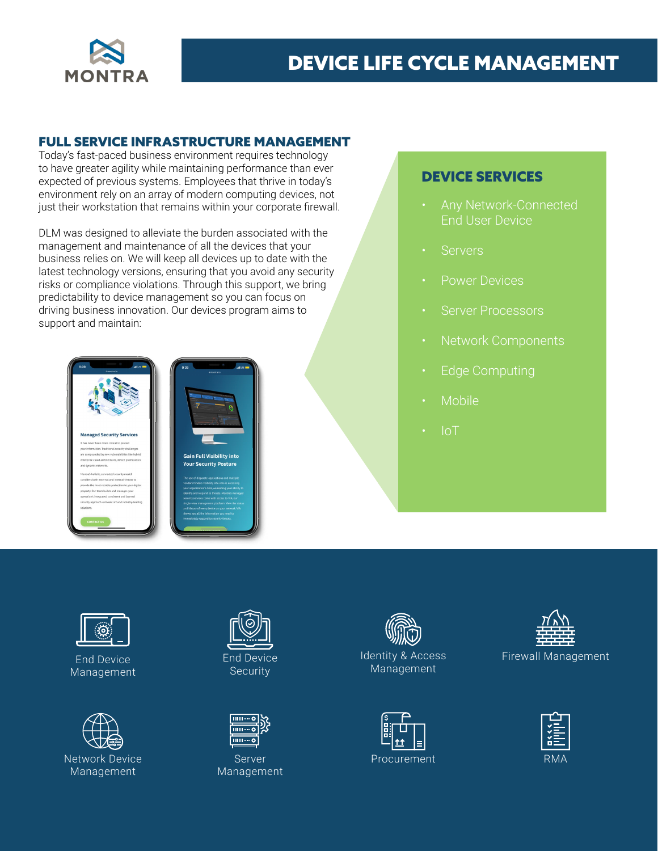

## DEVICE LIFE CYCLE MANAGEMENT

#### FULL SERVICE INFRASTRUCTURE MANAGEMENT

Today's fast-paced business environment requires technology to have greater agility while maintaining performance than ever expected of previous systems. Employees that thrive in today's environment rely on an array of modern computing devices, not just their workstation that remains within your corporate firewall.

DLM was designed to alleviate the burden associated with the management and maintenance of all the devices that your business relies on. We will keep all devices up to date with the latest technology versions, ensuring that you avoid any security risks or compliance violations. Through this support, we bring predictability to device management so you can focus on driving business innovation. Our devices program aims to support and maintain:



### DEVICE SERVICES

- End User Device
- **Servers**
- Power Devices
- Server Processors
- Network Components
- **Edge Computing**
- Mobile
- IoT



End Device Management



Network Device Management



End Device **Security** 



Server Management



Identity & Access Management





Firewall Management